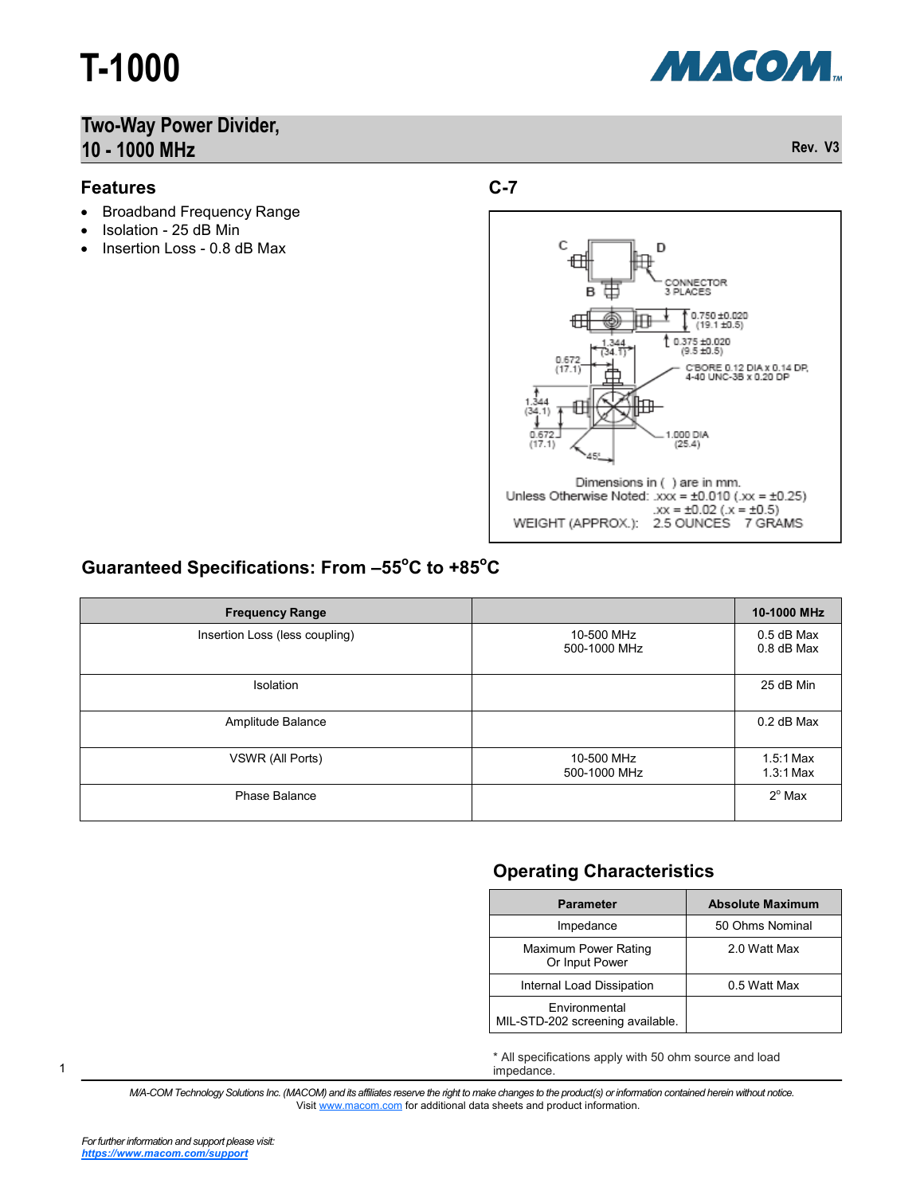# **T-1000**

### **Two-Way Power Divider, 10 - 1000 MHz Rev. V3**

#### **Features**

- Broadband Frequency Range
- Isolation 25 dB Min
- Insertion Loss 0.8 dB Max







#### **Guaranteed Specifications: From –55<sup>o</sup>C to +85<sup>o</sup>C**

| <b>Frequency Range</b>         |                            | 10-1000 MHz                |
|--------------------------------|----------------------------|----------------------------|
| Insertion Loss (less coupling) | 10-500 MHz<br>500-1000 MHz | $0.5$ dB Max<br>0.8 dB Max |
| <b>Isolation</b>               |                            | 25 dB Min                  |
| Amplitude Balance              |                            | 0.2 dB Max                 |
| VSWR (All Ports)               | 10-500 MHz<br>500-1000 MHz | $1.5:1$ Max<br>$1.3:1$ Max |
| Phase Balance                  |                            | $2^{\circ}$ Max            |

#### **Operating Characteristics**

| <b>Parameter</b>                                  | <b>Absolute Maximum</b> |  |
|---------------------------------------------------|-------------------------|--|
| Impedance                                         | 50 Ohms Nominal         |  |
| Maximum Power Rating<br>Or Input Power            | 2.0 Watt Max            |  |
| Internal Load Dissipation                         | 0.5 Watt Max            |  |
| Environmental<br>MIL-STD-202 screening available. |                         |  |

\* All specifications apply with 50 ohm source and load impedance.

*M/A-COM Technology Solutions Inc. (MACOM) and its affiliates reserve the right to make changes to the product(s) or information contained herein without notice.*  Visit [www.macom.com](http://www.macom.com/) for additional data sheets and product information.

1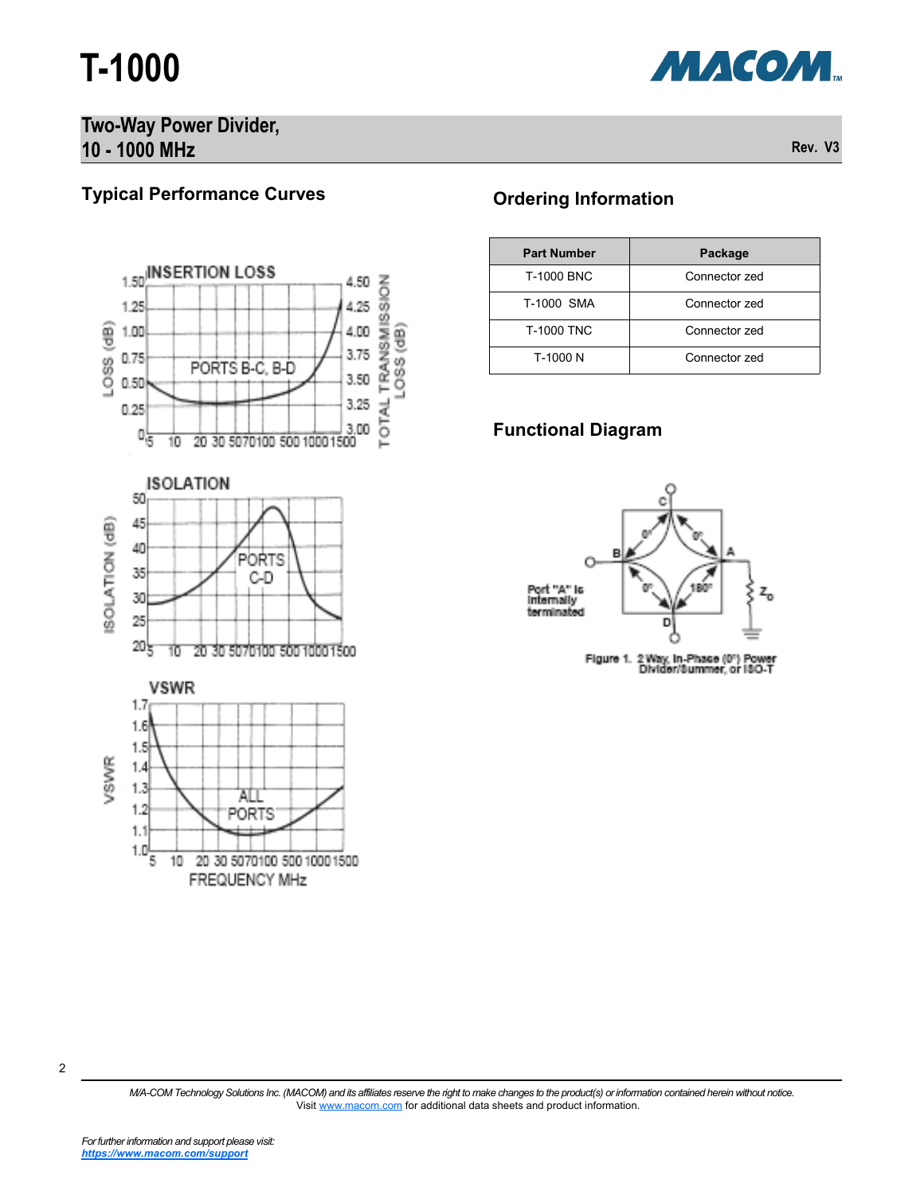## **T-1000**



#### **Two-Way Power Divider, 10 - 1000 MHz Rev. V3**

### **Typical Performance Curves**







#### **Ordering Information**

| <b>Part Number</b> | Package       |
|--------------------|---------------|
| <b>T-1000 BNC</b>  | Connector zed |
| T-1000 SMA         | Connector zed |
| <b>T-1000 TNC</b>  | Connector zed |
| T-1000 N           | Connector zed |

#### **Functional Diagram**



Figure 1. 2 Way, in-Phase (0") Power<br>Dividen/Summer, or ISO-T

2

*M/A-COM Technology Solutions Inc. (MACOM) and its affiliates reserve the right to make changes to the product(s) or information contained herein without notice.*  Visit [www.macom.com](http://www.macom.com/) for additional data sheets and product information.